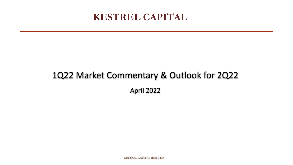# **KESTREL CAPITAL**

# 1Q22 Market Commentary & Outlook for 2Q22 April 2022

1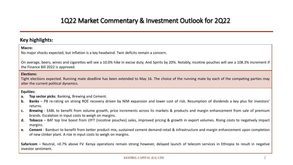## **Key highlights:**

### **Macro:**

No major shocks expected, but inflation is a key headwind. Twin deficits remain a concern.

On average, beers, wines and cigarettes will see a 10.0% hike in excise duty. And Spirits by 20%. Notably, nicotine pouches will see a 108.3% increment if the Finance Bill 2022 is approved.

## **Elections:**

Tight elections expected. Running mate deadline has been extended to May 16. The choice of the running mate by each of the competing parties may alter the current political dynamics.

## **Equities:**

- **a. Top sector picks**: Banking, Brewing and Cement.
- **b. Banks** PB re-rating on strong ROE recovery driven by NIM expansion and lower cost of risk. Resumption of dividends a key plus for investors' returns.
- **c. Brewing** EABL to benefit from volume growth, price increments across its markets & products and margin enhancement from sale of premium brands. Escalation in input costs to weigh on margins.
- **d. Tobacco** BAT top line boost from LYFT (nicotine pouches) sales, improved pricing & growth in export volumes. Rising costs to negatively impact margins.
- **e. Cement** Bamburi to benefit from better product mix, sustained cement demand-retail & infrastructure and margin enhancement upon completion of new clinker plant. A rise in input costs to weigh on margins.

**Safaricom** – Neutral, +0.7% above FV. Kenya operations remain strong however, delayed launch of telecom services in Ethiopia to result in negative investor sentiment.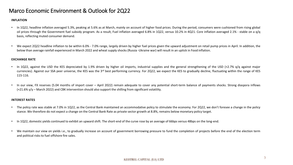## Marco Economic Environment & Outlook for 2Q22

### **INFLATION**

- In 1Q22, headline inflation averaged 5.3%, peaking at 5.6% as at March, mainly on account of higher food prices. During the period, consumers were cushioned from rising global oil prices through the Government fuel subsidy program. As a result, Fuel inflation averaged 6.8% in 1Q22, versus 10.2% in 4Q21. Core inflation averaged 2.1% - stable on a q/q basis, reflecting muted consumer demand.
- We expect 2Q22 headline inflation to be within 6.0% 7.0% range, largely driven by higher fuel prices given the upward adjustment on retail pump prices in April. In addition, the below than average rainfall experienced in March 2022 and wheat supply shocks (Russia -Ukraine war) will result in an uptick in Food inflation.

### **EXCHANGE RATE**

- In 1Q22, against the USD the KES depreciated by 1.9% driven by higher oil imports, industrial supplies and the general strengthening of the USD (+2.7% q/q against major currencies). Against our SSA peer universe, the KES was the 3<sup>rd</sup> best performing currency. For 2Q22, we expect the KES to gradually decline, fluctuating within the range of KES 115-116.
- In our view, FX reserves (5.04 months of import cover April 2022) remain adequate to cover any potential short-term balance of payments shocks. Strong diaspora inflows (+21.6% y/y – March 2022) and CBK intervention should also support the shilling from significant volatility.

### **INTEREST RATES**

- The policy rate was stable at 7.0% in 1Q22, as the Central Bank maintained an accommodative policy to stimulate the economy. For 2Q22, we don't foresee a change in the policy stance. We therefore do not expect a change on the Central Bank Rate as private sector growth at 8.8%, remains below monetary policy target.
- In 1Q22, domestic yields continued to exhibit an upward shift. The short-end of the curve rose by an average of 66bps versus 48bps on the long-end.
- We maintain our view on yields i.e., to gradually increase on account of government borrowing pressure to fund the completion of projects before the end of the election term and political risks to fuel offshore fire sales.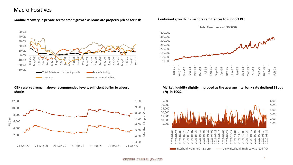## Macro Positives

## **Gradual recovery in private sector credit growth as loans are properly priced for risk Continued growth in diaspora remittances to support KES**



### **CBK reserves remain above recommended levels, sufficient buffer to absorb shocks**





## **Market liquidity slightly improved as the average interbank rate declined 39bps q/q in 1Q22**

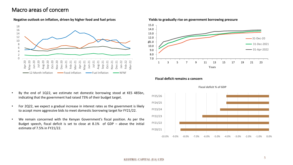## Macro areas of concern



### **Negative outlook on inflation, driven by higher food and fuel prices**



### **Fiscal deficit remains a concern**



**Fiscal deficit % of GDP**

- By the end of 1Q22, we estimate net domestic borrowing stood at KES 485bn, indicating that the government had raised 73% of their budget target.
- For 2Q22, we expect a gradual increase in interest rates as the government is likely to accept more aggressive bids to meet domestic borrowing target for FY21/22.
- We remain concerned with the Kenyan Government's fiscal position. As per the Budget speech, fiscal deficit is set to close at 8.1% of GDP – above the initial estimate of 7.5% in FY21/22.

KESTREL CAPITAL (EA) LTD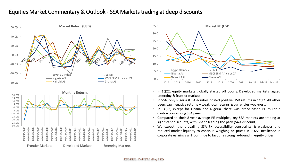## Equities Market Commentary & Outlook - SSA Markets trading at deep discounts



![](_page_5_Figure_2.jpeg)

- In 1Q22, equity markets globally started off poorly. Developed markets lagged emerging & frontier markets.
- In SSA, only Nigeria & SA equities posted positive USD returns in 1Q22. All other peers saw negative returns – weak local returns & currencies weakness.
- In 1Q22, except for Ghana and Nigeria, there was broad-based PE multiple contraction among SSA peers.
- Compared to their 8-year average PE multiples, key SSA markets are trading at significant discounts, with Ghana leading the pack (54% discount)
- We expect, the prevailing SSA FX accessibility constraints & weakness and reduced market liquidity to continue weighing on prices in 2Q22. Resilience in corporate earnings will continue to favour a strong re-bound in equity prices.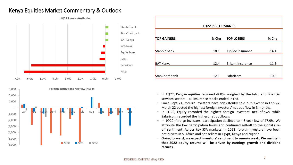## Kenya Equities Market Commentary & Outlook

![](_page_6_Figure_1.jpeg)

![](_page_6_Figure_2.jpeg)

| 1Q22 PERFORMANCE   |       |                         |         |  |  |  |
|--------------------|-------|-------------------------|---------|--|--|--|
|                    |       |                         |         |  |  |  |
| <b>TOP GAINERS</b> | % Chg | <b>TOP LOSERS</b>       | % Chg   |  |  |  |
|                    |       |                         |         |  |  |  |
| Stanbic bank       | 18.1  | Jubilee Insurance       | $-14.1$ |  |  |  |
|                    |       |                         |         |  |  |  |
| <b>BAT Kenya</b>   | 12.4  | <b>Britam Insurance</b> | $-11.5$ |  |  |  |
|                    |       |                         |         |  |  |  |
| StanChart bank     | 12.1  | Safaricom               | $-10.0$ |  |  |  |

- In 1Q22, Kenyan equities returned -8.0%, weighed by the telco and financial services sectors – all insurance stocks ended in red.
- Since Sept 21, foreign investors have consistently sold out, except in Feb 22. March 22 posted the highest foreign investors' net out flow in 3 months.
- In 1Q22, Equity recorded the highest foreign investors' net inflows, while Safaricom recorded the highest net outflows.
- In 1Q22, foreign investors' participation declined to a 6-year low of 47.9%. We attribute the low participation levels and continued sell-off to the global riskoff sentiment. Across key SSA markets, in 2022, foreign investors have been net buyers in S. Africa and net sellers in Egypt, Kenya and Nigeria.
- **Going forward, we expect investors' sentiment to remain weak. We maintain that 2022 equity returns will be driven by earnings growth and dividend returns.**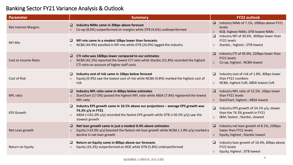## Banking Sector FY21 Variance Analysis & Outlook

| <b>Parameter</b>            | <b>Summary</b>                                                                                                                                                                                                                     | <b>FY22 outlook</b>                                                                                                   |
|-----------------------------|------------------------------------------------------------------------------------------------------------------------------------------------------------------------------------------------------------------------------------|-----------------------------------------------------------------------------------------------------------------------|
| <b>Net Interest Margins</b> | $\Box$<br>Industry NIMs came in 20bps above forecast<br>Co-op (8.0%) outperformed on margins while DTB (4.6%) underperformed<br>$\circ$                                                                                            | Industry NIMs of 7.1%, 100bps above FY21<br>levels<br>KCB, highest NIMs; DTB lowest NIMs                              |
| <b>NFI Mix</b>              | NFI mix came in a modest 10bps lower than forecasts<br>$\Box$<br>NCBA (44.9%) excelled in NFI mix while DTB (24.0%) lagged the industry<br>$\circ$                                                                                 | Industry NFI of 30.6%, 360bps lower than<br>FY21 levels<br>Stanbic, highest; DTB lowest                               |
| Cost to Income Ratio        | CTI ratio was 160bps lower compared to our estimates<br>$\Box$<br>NCBA (42.2%) reported the lowest CTI ratio while Stanbic (51.8%) recorded the highest<br>$\circ$<br>CTI ratio on account of higher staff costs                   | Industry CTI of 45.0%, 220bps lower than<br>FY21 levels<br>Co-op, highest; NCBA lowest<br>$\circ$                     |
| Cost of Risk                | Industry cost of risk came in 10bps below forecast<br>$\Box$<br>Equity (0.9%) saw the lowest cost of risk while NCBA (4.8%) marked the highest cost of<br>$\circ$<br>risk                                                          | Industry cost of risk of 1.8%, 40bps lower<br>than FY21 numbers<br>NCBA, highest CoR; ABSA lowest CoR                 |
| <b>NPL ratio</b>            | Industry NPL ratio came in 40bps below estimates<br>$\Box$<br>StanChart (17.0%) posted the highest NPL ratio while ABSA (7.8%) registered the lowest<br>$\circ$<br><b>NPL ratio</b>                                                | Industry NPL ratio of 12.5%, 10bps lower<br>$\Box$<br>than FY21 levels<br>StanChart, highest; ABSA lowest<br>$\circ$  |
| <b>EPS Growth</b>           | Industry EPS growth came in 10.5% above our projections - average EPS growth was<br>□<br>74.3% y/y in FY21<br>ABSA (+161.0% $y/y$ ) recorded the fastest EPS growth while DTB (+20.5% $y/y$ ) saw the<br>$\circ$<br>slowest growth | $\Box$<br>Industry EPS growth of 24.1% y/y, slower<br>than the 74.3% growth in FY21<br>I&M, fastest; Stanbic, slowest |
| Net Loan growth             | Net loan growth came in just a modest 0.4% above estimates<br>$\Box$<br>Equity (+23.0% y/y) boosted the fastest net loan growth while NCBA (-1.8% y/y) marked a<br>$\circ$<br>decline in net loan growth                           | Industry net loan growth of 8.1%, 230bps<br>lower than FY21 levels<br>Equity, highest; Stanbic lowest                 |
| Return on Equity            | Return on Equity came in 80bps above our forecasts<br>$\Box$<br>Equity (23.2%) outperformed on ROE while DTB (5.8%) underperformed<br>$\circ$                                                                                      | Industry loan growth of 16.4%, 60bps above<br>FY21 levels<br>Equity, highest; DTB lowest                              |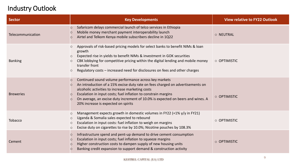## Industry Outlook

| <b>Sector</b>     | <b>Key Developments</b>                                                                                                                                                                                                                                                                                                                                                                                                             | <b>View relative to FY22 Outlook</b> |
|-------------------|-------------------------------------------------------------------------------------------------------------------------------------------------------------------------------------------------------------------------------------------------------------------------------------------------------------------------------------------------------------------------------------------------------------------------------------|--------------------------------------|
| Telecommunication | Safaricom delays commercial launch of telco services in Ethiopia<br>$\circ$<br>Mobile money merchant payment interoperability launch<br>$\circ$<br>Airtel and Telkom Kenya mobile subscribers decline in 1Q22<br>$\circ$                                                                                                                                                                                                            | O NEUTRAL                            |
| <b>Banking</b>    | Approvals of risk-based pricing models for select banks to benefit NIMs & loan<br>$\circ$<br>growth<br>Expected rise in yields to benefit NIMs & investment in GOK securities<br>$\bigcirc$<br>CBK lobbying for competitive pricing within the digital lending and mobile money<br>$\circ$<br>transfer front<br>Regulatory costs - increased need for disclosures on fees and other charges<br>$\circ$                              | O OPTIMISTIC                         |
| <b>Breweries</b>  | Continued sound volume performance across key markets<br>$\circ$<br>An introduction of a 15% excise duty rate on fees charged on advertisements on<br>$\circ$<br>alcoholic activities to increase marketing costs<br>Escalation in input costs; fuel inflation to constrain margins<br>$\circ$<br>On average, an excise duty increment of 10.0% is expected on beers and wines. A<br>$\circ$<br>20% increase is expected on spirits | O OPTIMISTIC                         |
| <b>Tobacco</b>    | Management expects growth in domestic volumes in FY22 (+1% y/y in FY21)<br>$\circ$<br>Uganda & Somalia sales expected to rebound<br>$\circ$<br>Escalation in input costs: fuel inflation to weigh on margins<br>$\circ$<br>Excise duty on cigarettes to rise by 10.0%; Nicotine pouches by 108.3%<br>$\circ$                                                                                                                        | O OPTIMISTIC                         |
| Cement            | Infrastructure spend and pent-up demand to drive cement consumption<br>$\circ$<br>Escalation in input costs; fuel inflation to squeeze margins<br>$\circ$<br>Higher construction costs to dampen supply of new housing units<br>$\circ$<br>Banking credit expansion to support demand & construction activity<br>$\circ$                                                                                                            | O OPTIMISTIC                         |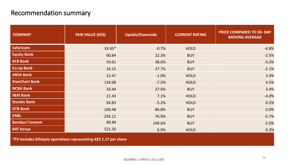## Recommendation summary

| <b>COMPANY</b>        | <b>FAIR VALUE (KES)</b> | <b>Upside/Downside</b> | <b>CURRENT RATING</b> | <b>PRICE COMPARED TO 50- DAY</b><br><b>MOVING AVERAGE</b> |
|-----------------------|-------------------------|------------------------|-----------------------|-----------------------------------------------------------|
| <b>Safaricom</b>      | 33.95*                  | $-0.7%$                | <b>HOLD</b>           | $-4.8%$                                                   |
| <b>Equity Bank</b>    | 60.84                   | 22.3%                  | <b>BUY</b>            | $-2.5%$                                                   |
| <b>KCB Bank</b>       | 59.61                   | 38.6%                  | <b>BUY</b>            | $-3.3%$                                                   |
| <b>Co-op Bank</b>     | 16.15                   | 27.7%                  | <b>BUY</b>            | $-2.1%$                                                   |
| <b>ABSA Bank</b>      | 12.47                   | $-1.0%$                | <b>HOLD</b>           | 3.4%                                                      |
| <b>StanChart Bank</b> | 134.08                  | $-7.5%$                | <b>HOLD</b>           | 4.5%                                                      |
| <b>NCBA Bank</b>      | 33.44                   | 27.6%                  | <b>BUY</b>            | 3.4%                                                      |
| <b>I&amp;M Bank</b>   | 21.43                   | 7.1%                   | <b>HOLD</b>           | $-4.0%$                                                   |
| <b>Stanbic Bank</b>   | 94.83                   | $-5.2%$                | <b>HOLD</b>           | 0.2%                                                      |
| <b>DTB Bank</b>       | 106.48                  | 86.8%                  | <b>BUY</b>            | 0.0%                                                      |
| <b>EABL</b>           | 256.11                  | 76.9%                  | <b>BUY</b>            | $-5.7%$                                                   |
| <b>Bamburi Cement</b> | 89.84                   | 149.6%                 | <b>BUY</b>            | $-2.0%$                                                   |
| <b>BAT Kenya</b>      | 521.50                  | 6.9%                   | <b>HOLD</b>           | 0.3%                                                      |

*\*FV includes Ethiopia operations representing KES 1.17 per share*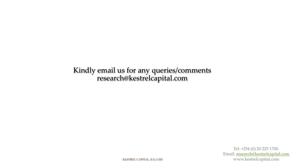Kindly email us for any queries/comments research@kestrelcapital.com

> Tel: +254 (0) 20 225 1700. Email: [research@kestrelcapital.com](mailto:research@kestrelcapital.com) www.kestrelcapital.com

KESTREL CAPITAL (EA) LTD